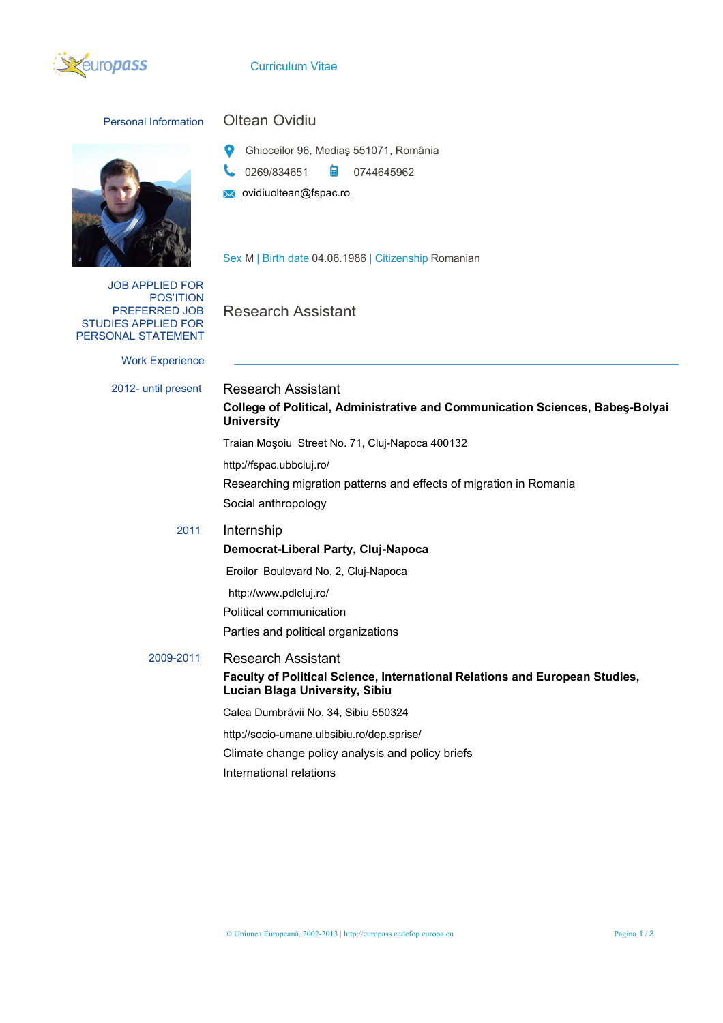

## Curriculum Vitae



JOB APPLIED FOR POS'ITION PREFERRED JOB STUDIES APPLIED FOR PERSONAL STATEMENT

Work Experience

## Personal Information Oltean Ovidiu

- Ghioceilor 96, Mediaş 551071, România
- 0269/834651 **a** 0744645962
- vidiuoltean@fspac.ro

Sex M | Birth date 04.06.1986 | Citizenship Romanian

Research Assistant

2012- until present Research Assistant **College of Political, Administrative and Communication Sciences, Babeş-Bolyai University** Traian Moşoiu Street No. 71, Cluj-Napoca 400132 http://fspac.ubbcluj.ro/ Researching migration patterns and effects of migration in Romania Social anthropology 2011 Internship **Democrat-Liberal Party, Cluj-Napoca** Eroilor Boulevard No. 2, Cluj-Napoca http://www.pdlcluj.ro/ Political communication Parties and political organizations 2009-2011 Research Assistant **Faculty of Political Science, International Relations and European Studies, Lucian Blaga University, Sibiu** Calea Dumbrăvii No. 34, Sibiu 550324 http://socio-umane.ulbsibiu.ro/dep.sprise/ Climate change policy analysis and policy briefs International relations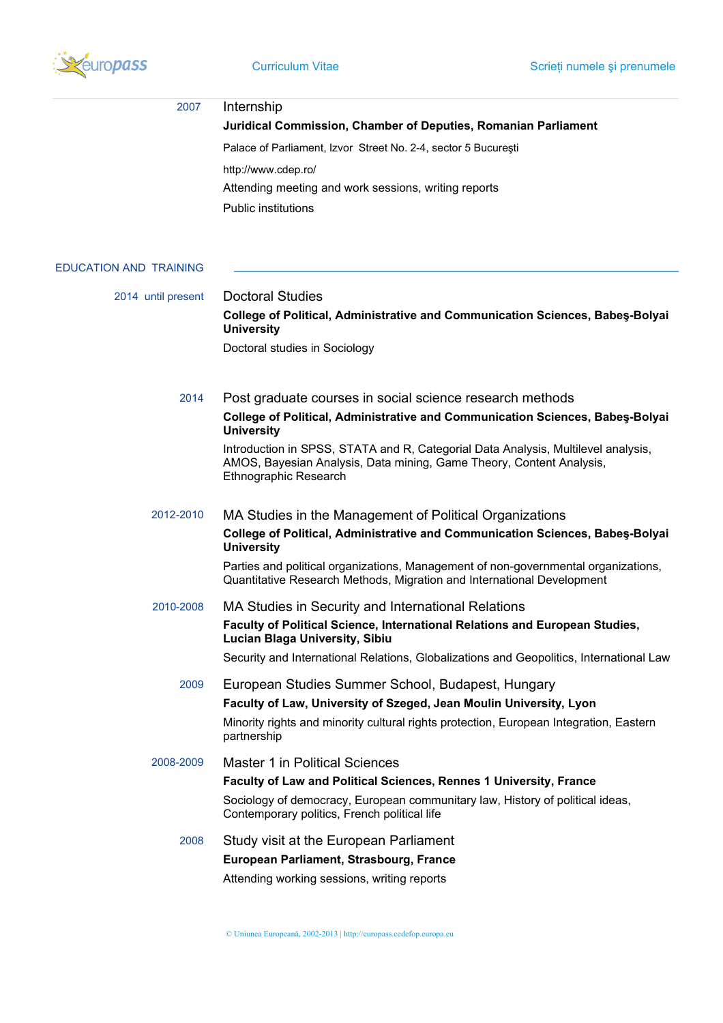

| 2007                          | Internship                                                                                                                                                                         |  |  |  |
|-------------------------------|------------------------------------------------------------------------------------------------------------------------------------------------------------------------------------|--|--|--|
|                               | Juridical Commission, Chamber of Deputies, Romanian Parliament                                                                                                                     |  |  |  |
|                               | Palace of Parliament, Izvor Street No. 2-4, sector 5 București                                                                                                                     |  |  |  |
|                               | http://www.cdep.ro/                                                                                                                                                                |  |  |  |
|                               | Attending meeting and work sessions, writing reports                                                                                                                               |  |  |  |
|                               | <b>Public institutions</b>                                                                                                                                                         |  |  |  |
| <b>EDUCATION AND TRAINING</b> |                                                                                                                                                                                    |  |  |  |
| 2014 until present            | <b>Doctoral Studies</b>                                                                                                                                                            |  |  |  |
|                               | <b>College of Political, Administrative and Communication Sciences, Babes-Bolyai</b><br><b>University</b>                                                                          |  |  |  |
|                               | Doctoral studies in Sociology                                                                                                                                                      |  |  |  |
| 2014                          | Post graduate courses in social science research methods                                                                                                                           |  |  |  |
|                               | <b>College of Political, Administrative and Communication Sciences, Babes-Bolyai</b><br><b>University</b>                                                                          |  |  |  |
|                               | Introduction in SPSS, STATA and R, Categorial Data Analysis, Multilevel analysis,<br>AMOS, Bayesian Analysis, Data mining, Game Theory, Content Analysis,<br>Ethnographic Research |  |  |  |
| 2012-2010                     | MA Studies in the Management of Political Organizations                                                                                                                            |  |  |  |
|                               | College of Political, Administrative and Communication Sciences, Babes-Bolyai<br><b>University</b>                                                                                 |  |  |  |
|                               | Parties and political organizations, Management of non-governmental organizations,<br>Quantitative Research Methods, Migration and International Development                       |  |  |  |
| 2010-2008                     | MA Studies in Security and International Relations                                                                                                                                 |  |  |  |
|                               | Faculty of Political Science, International Relations and European Studies,<br><b>Lucian Blaga University, Sibiu</b>                                                               |  |  |  |
|                               | Security and International Relations, Globalizations and Geopolitics, International Law                                                                                            |  |  |  |
| 2009                          | European Studies Summer School, Budapest, Hungary                                                                                                                                  |  |  |  |
|                               | Faculty of Law, University of Szeged, Jean Moulin University, Lyon                                                                                                                 |  |  |  |
|                               | Minority rights and minority cultural rights protection, European Integration, Eastern<br>partnership                                                                              |  |  |  |
| 2008-2009                     | <b>Master 1 in Political Sciences</b>                                                                                                                                              |  |  |  |
|                               | Faculty of Law and Political Sciences, Rennes 1 University, France                                                                                                                 |  |  |  |
|                               | Sociology of democracy, European communitary law, History of political ideas,<br>Contemporary politics, French political life                                                      |  |  |  |
| 2008                          | Study visit at the European Parliament                                                                                                                                             |  |  |  |
|                               | European Parliament, Strasbourg, France                                                                                                                                            |  |  |  |
|                               | Attending working sessions, writing reports                                                                                                                                        |  |  |  |
|                               |                                                                                                                                                                                    |  |  |  |